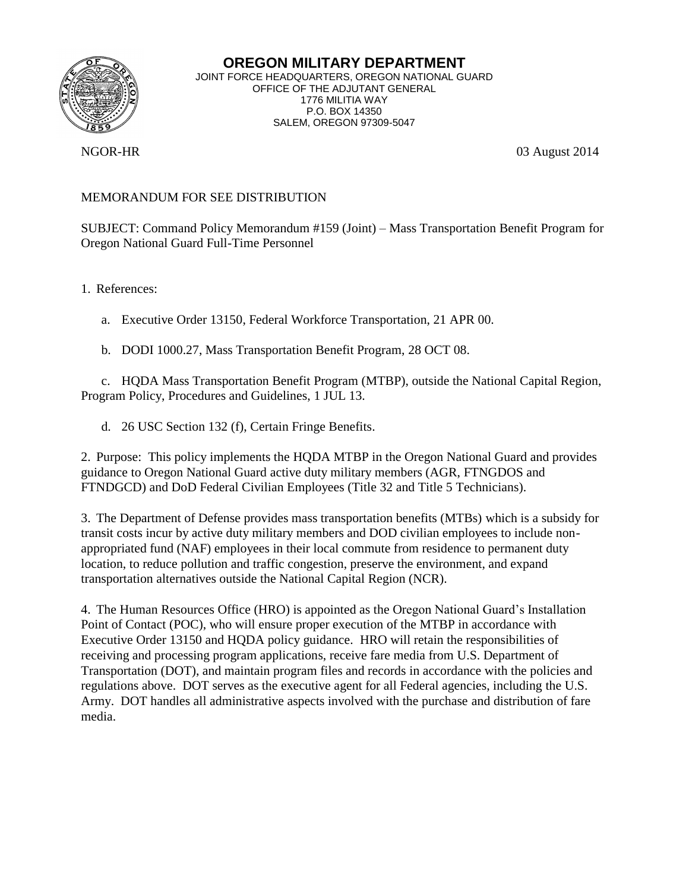

**OREGON MILITARY DEPARTMENT** JOINT FORCE HEADQUARTERS, OREGON NATIONAL GUARD OFFICE OF THE ADJUTANT GENERAL 1776 MILITIA WAY P.O. BOX 14350 SALEM, OREGON 97309-5047

NGOR-HR 03 August 2014

## MEMORANDUM FOR SEE DISTRIBUTION

SUBJECT: Command Policy Memorandum #159 (Joint) – Mass Transportation Benefit Program for Oregon National Guard Full-Time Personnel

1. References:

a. Executive Order 13150, Federal Workforce Transportation, 21 APR 00.

b. DODI 1000.27, Mass Transportation Benefit Program, 28 OCT 08.

c. HQDA Mass Transportation Benefit Program (MTBP), outside the National Capital Region, Program Policy, Procedures and Guidelines, 1 JUL 13.

d. 26 USC Section 132 (f), Certain Fringe Benefits.

2. Purpose: This policy implements the HQDA MTBP in the Oregon National Guard and provides guidance to Oregon National Guard active duty military members (AGR, FTNGDOS and FTNDGCD) and DoD Federal Civilian Employees (Title 32 and Title 5 Technicians).

3. The Department of Defense provides mass transportation benefits (MTBs) which is a subsidy for transit costs incur by active duty military members and DOD civilian employees to include nonappropriated fund (NAF) employees in their local commute from residence to permanent duty location, to reduce pollution and traffic congestion, preserve the environment, and expand transportation alternatives outside the National Capital Region (NCR).

4. The Human Resources Office (HRO) is appointed as the Oregon National Guard's Installation Point of Contact (POC), who will ensure proper execution of the MTBP in accordance with Executive Order 13150 and HQDA policy guidance. HRO will retain the responsibilities of receiving and processing program applications, receive fare media from U.S. Department of Transportation (DOT), and maintain program files and records in accordance with the policies and regulations above. DOT serves as the executive agent for all Federal agencies, including the U.S. Army. DOT handles all administrative aspects involved with the purchase and distribution of fare media.